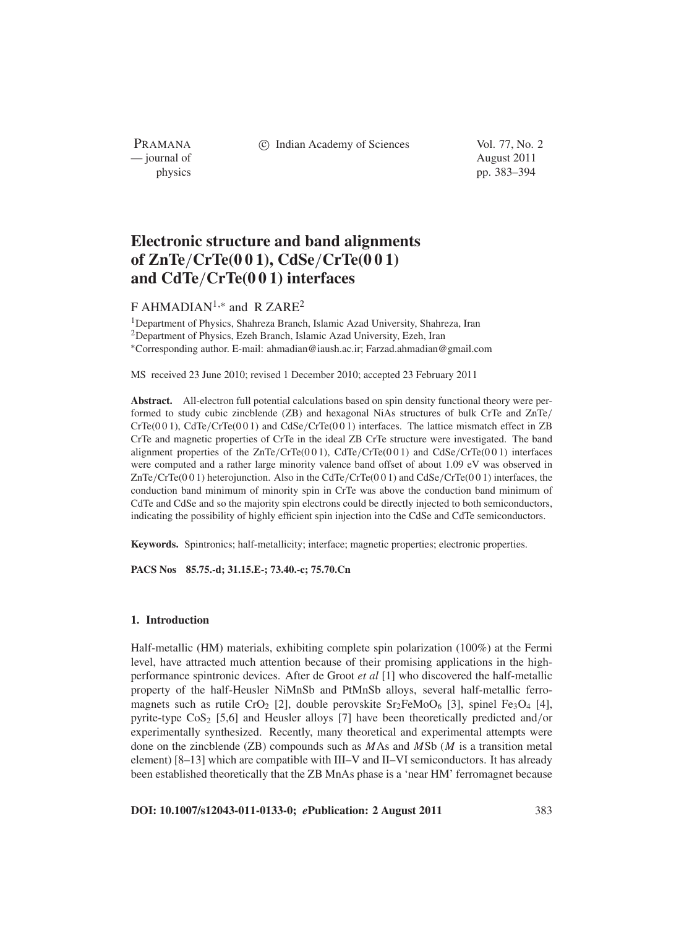PRAMANA — journal of August 2011

c Indian Academy of Sciences Vol. 77, No. 2

physics pp. 383–394

# **Electronic structure and band alignments of ZnTe**/**CrTe(0 0 1), CdSe**/**CrTe(0 0 1) and CdTe**/**CrTe(0 0 1) interfaces**

## F AHMADIAN1,<sup>∗</sup> and R ZARE<sup>2</sup>

<sup>1</sup>Department of Physics, Shahreza Branch, Islamic Azad University, Shahreza, Iran <sup>2</sup>Department of Physics, Ezeh Branch, Islamic Azad University, Ezeh, Iran <sup>∗</sup>Corresponding author. E-mail: ahmadian@iaush.ac.ir; Farzad.ahmadian@gmail.com

MS received 23 June 2010; revised 1 December 2010; accepted 23 February 2011

**Abstract.** All-electron full potential calculations based on spin density functional theory were performed to study cubic zincblende (ZB) and hexagonal NiAs structures of bulk CrTe and ZnTe/ CrTe(0 0 1), CdTe/CrTe(0 0 1) and CdSe/CrTe(0 0 1) interfaces. The lattice mismatch effect in ZB CrTe and magnetic properties of CrTe in the ideal ZB CrTe structure were investigated. The band alignment properties of the  $ZnTe/CrTe(0 0 1)$ ,  $CdTe/CrTe(0 0 1)$  and  $CdSe/CrTe(0 0 1)$  interfaces were computed and a rather large minority valence band offset of about 1.09 eV was observed in ZnTe/CrTe(001) heterojunction. Also in the CdTe/CrTe(001) and CdSe/CrTe(001) interfaces, the conduction band minimum of minority spin in CrTe was above the conduction band minimum of CdTe and CdSe and so the majority spin electrons could be directly injected to both semiconductors, indicating the possibility of highly efficient spin injection into the CdSe and CdTe semiconductors.

**Keywords.** Spintronics; half-metallicity; interface; magnetic properties; electronic properties.

**PACS Nos 85.75.-d; 31.15.E-; 73.40.-c; 75.70.Cn**

## **1. Introduction**

Half-metallic (HM) materials, exhibiting complete spin polarization (100%) at the Fermi level, have attracted much attention because of their promising applications in the highperformance spintronic devices. After de Groot *et al* [1] who discovered the half-metallic property of the half-Heusler NiMnSb and PtMnSb alloys, several half-metallic ferromagnets such as rutile CrO<sub>2</sub> [2], double perovskite  $Sr<sub>2</sub>FeMoO<sub>6</sub>$  [3], spinel Fe<sub>3</sub>O<sub>4</sub> [4], pyrite-type  $\cos_2$  [5,6] and Heusler alloys [7] have been theoretically predicted and/or experimentally synthesized. Recently, many theoretical and experimental attempts were done on the zincblende (ZB) compounds such as *M*As and *M*Sb (*M* is a transition metal element) [8–13] which are compatible with III–V and II–VI semiconductors. It has already been established theoretically that the ZB MnAs phase is a 'near HM' ferromagnet because

**DOI: 10.1007/s12043-011-0133-0;** *e***Publication: 2 August 2011** 383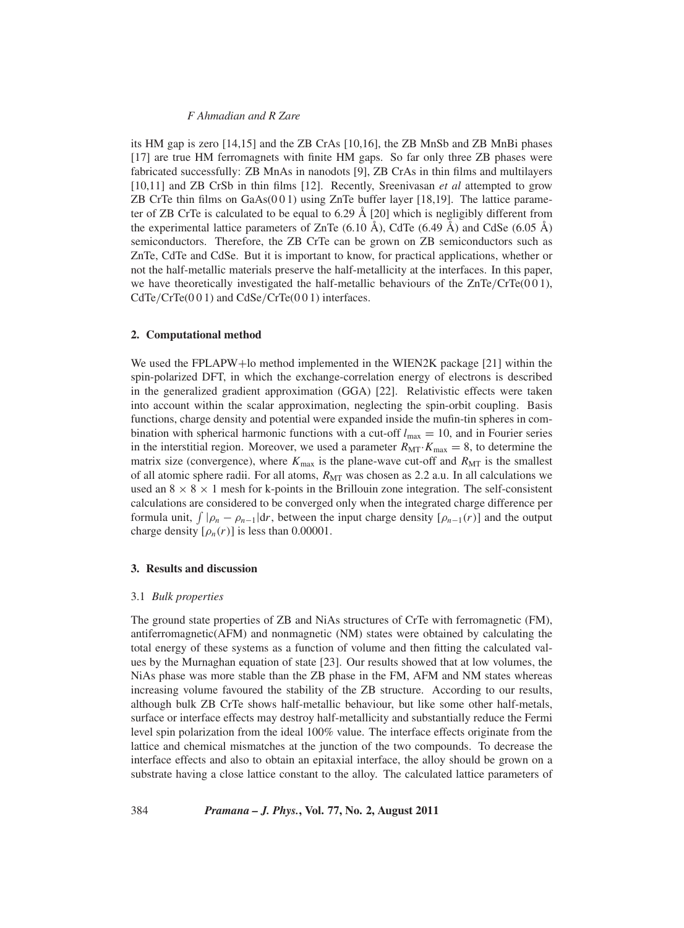its HM gap is zero [14,15] and the ZB CrAs [10,16], the ZB MnSb and ZB MnBi phases [17] are true HM ferromagnets with finite HM gaps. So far only three ZB phases were fabricated successfully: ZB MnAs in nanodots [9], ZB CrAs in thin films and multilayers [10,11] and ZB CrSb in thin films [12]. Recently, Sreenivasan *et al* attempted to grow ZB CrTe thin films on  $GaAs(001)$  using ZnTe buffer layer [18,19]. The lattice parameter of ZB CrTe is calculated to be equal to 6.29 Å [20] which is negligibly different from the experimental lattice parameters of ZnTe  $(6.10 \text{ Å})$ , CdTe  $(6.49 \text{ Å})$  and CdSe  $(6.05 \text{ Å})$ semiconductors. Therefore, the ZB CrTe can be grown on ZB semiconductors such as ZnTe, CdTe and CdSe. But it is important to know, for practical applications, whether or not the half-metallic materials preserve the half-metallicity at the interfaces. In this paper, we have theoretically investigated the half-metallic behaviours of the  $ZnTe/CrTe(0 0 1)$ ,  $CdTe/CrTe(0 0 1)$  and  $CdSe/CrTe(0 0 1)$  interfaces.

#### **2. Computational method**

We used the FPLAPW+lo method implemented in the WIEN2K package [21] within the spin-polarized DFT, in which the exchange-correlation energy of electrons is described in the generalized gradient approximation (GGA) [22]. Relativistic effects were taken into account within the scalar approximation, neglecting the spin-orbit coupling. Basis functions, charge density and potential were expanded inside the mufin-tin spheres in combination with spherical harmonic functions with a cut-off  $l_{\text{max}} = 10$ , and in Fourier series in the interstitial region. Moreover, we used a parameter  $R_{\text{MT}} \cdot K_{\text{max}} = 8$ , to determine the matrix size (convergence), where  $K_{\text{max}}$  is the plane-wave cut-off and  $R_{\text{MT}}$  is the smallest of all atomic sphere radii. For all atoms,  $R_{\text{MT}}$  was chosen as 2.2 a.u. In all calculations we used an  $8 \times 8 \times 1$  mesh for k-points in the Brillouin zone integration. The self-consistent calculations are considered to be converged only when the integrated charge difference per formula unit,  $\int |\rho_n - \rho_{n-1}| dr$ , between the input charge density  $[\rho_{n-1}(r)]$  and the output charge density  $[\rho_n(r)]$  is less than 0.00001.

#### **3. Results and discussion**

#### 3.1 *Bulk properties*

The ground state properties of ZB and NiAs structures of CrTe with ferromagnetic (FM), antiferromagnetic(AFM) and nonmagnetic (NM) states were obtained by calculating the total energy of these systems as a function of volume and then fitting the calculated values by the Murnaghan equation of state [23]. Our results showed that at low volumes, the NiAs phase was more stable than the ZB phase in the FM, AFM and NM states whereas increasing volume favoured the stability of the ZB structure. According to our results, although bulk ZB CrTe shows half-metallic behaviour, but like some other half-metals, surface or interface effects may destroy half-metallicity and substantially reduce the Fermi level spin polarization from the ideal 100% value. The interface effects originate from the lattice and chemical mismatches at the junction of the two compounds. To decrease the interface effects and also to obtain an epitaxial interface, the alloy should be grown on a substrate having a close lattice constant to the alloy. The calculated lattice parameters of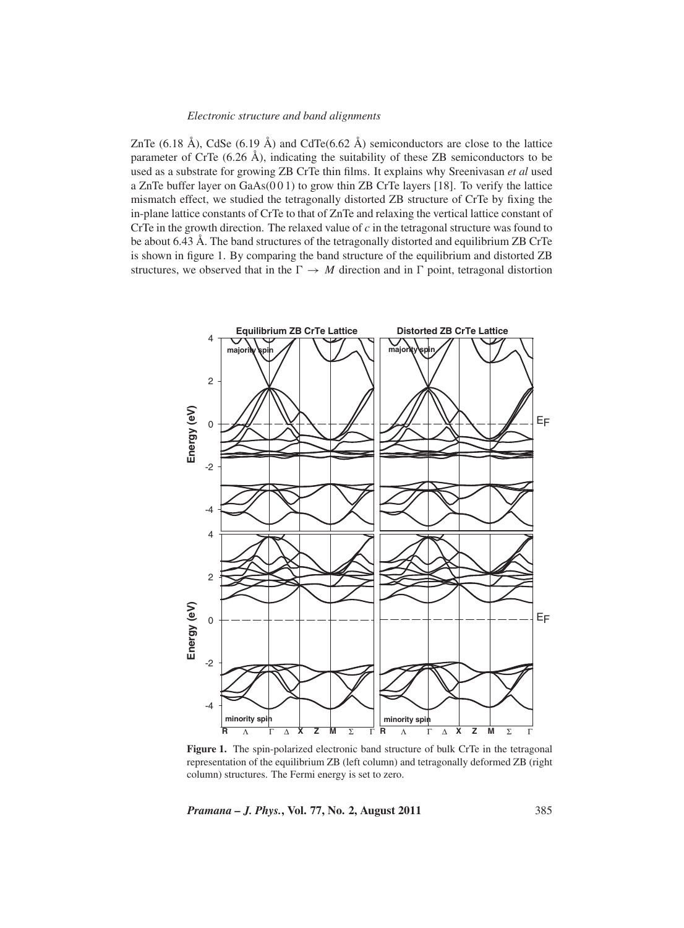ZnTe  $(6.18 \text{ Å})$ , CdSe  $(6.19 \text{ Å})$  and CdTe $(6.62 \text{ Å})$  semiconductors are close to the lattice parameter of CrTe  $(6.26 \text{ Å})$ , indicating the suitability of these ZB semiconductors to be used as a substrate for growing ZB CrTe thin films. It explains why Sreenivasan *et al* used a ZnTe buffer layer on GaAs(0 0 1) to grow thin ZB CrTe layers [18]. To verify the lattice mismatch effect, we studied the tetragonally distorted ZB structure of CrTe by fixing the in-plane lattice constants of CrTe to that of ZnTe and relaxing the vertical lattice constant of CrTe in the growth direction. The relaxed value of *c* in the tetragonal structure was found to be about 6.43 Å. The band structures of the tetragonally distorted and equilibrium ZB CrTe is shown in figure 1. By comparing the band structure of the equilibrium and distorted ZB structures, we observed that in the  $\Gamma \rightarrow M$  direction and in  $\Gamma$  point, tetragonal distortion



Figure 1. The spin-polarized electronic band structure of bulk CrTe in the tetragonal representation of the equilibrium ZB (left column) and tetragonally deformed ZB (right column) structures. The Fermi energy is set to zero.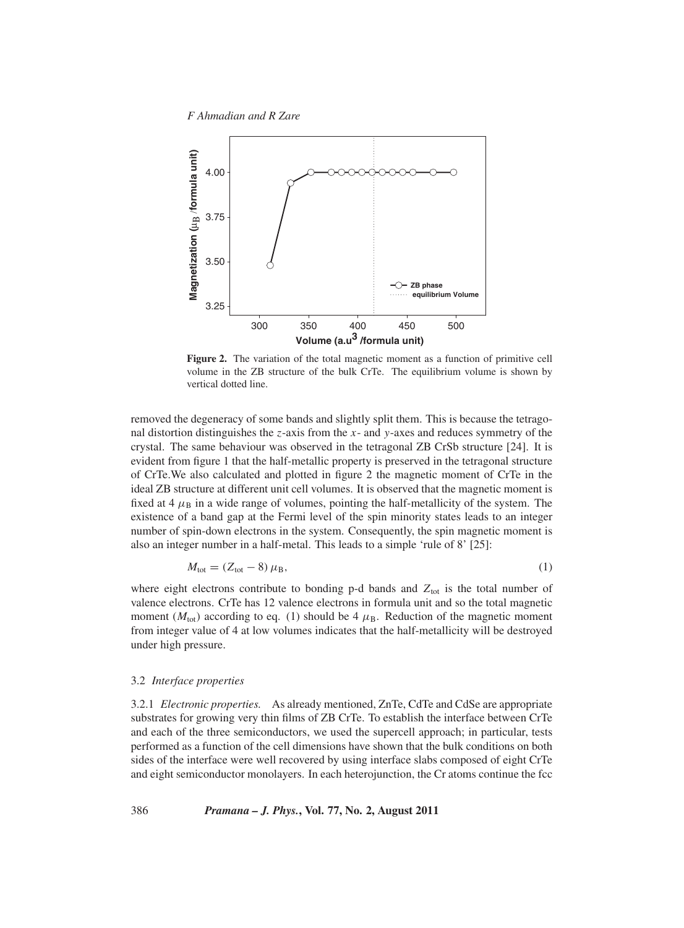*F Ahmadian and R Zare*



**Figure 2.** The variation of the total magnetic moment as a function of primitive cell volume in the ZB structure of the bulk CrTe. The equilibrium volume is shown by vertical dotted line.

removed the degeneracy of some bands and slightly split them. This is because the tetragonal distortion distinguishes the *z*-axis from the *x*- and *y*-axes and reduces symmetry of the crystal. The same behaviour was observed in the tetragonal ZB CrSb structure [24]. It is evident from figure 1 that the half-metallic property is preserved in the tetragonal structure of CrTe.We also calculated and plotted in figure 2 the magnetic moment of CrTe in the ideal ZB structure at different unit cell volumes. It is observed that the magnetic moment is fixed at 4  $\mu$ B in a wide range of volumes, pointing the half-metallicity of the system. The existence of a band gap at the Fermi level of the spin minority states leads to an integer number of spin-down electrons in the system. Consequently, the spin magnetic moment is also an integer number in a half-metal. This leads to a simple 'rule of 8' [25]:

$$
M_{\text{tot}} = (Z_{\text{tot}} - 8) \,\mu_{\text{B}},\tag{1}
$$

where eight electrons contribute to bonding p-d bands and  $Z_{\text{tot}}$  is the total number of valence electrons. CrTe has 12 valence electrons in formula unit and so the total magnetic moment ( $M_{\text{tot}}$ ) according to eq. (1) should be 4  $\mu_{\text{B}}$ . Reduction of the magnetic moment from integer value of 4 at low volumes indicates that the half-metallicity will be destroyed under high pressure.

#### 3.2 *Interface properties*

3.2.1 *Electronic properties.* As already mentioned, ZnTe, CdTe and CdSe are appropriate substrates for growing very thin films of ZB CrTe. To establish the interface between CrTe and each of the three semiconductors, we used the supercell approach; in particular, tests performed as a function of the cell dimensions have shown that the bulk conditions on both sides of the interface were well recovered by using interface slabs composed of eight CrTe and eight semiconductor monolayers. In each heterojunction, the Cr atoms continue the fcc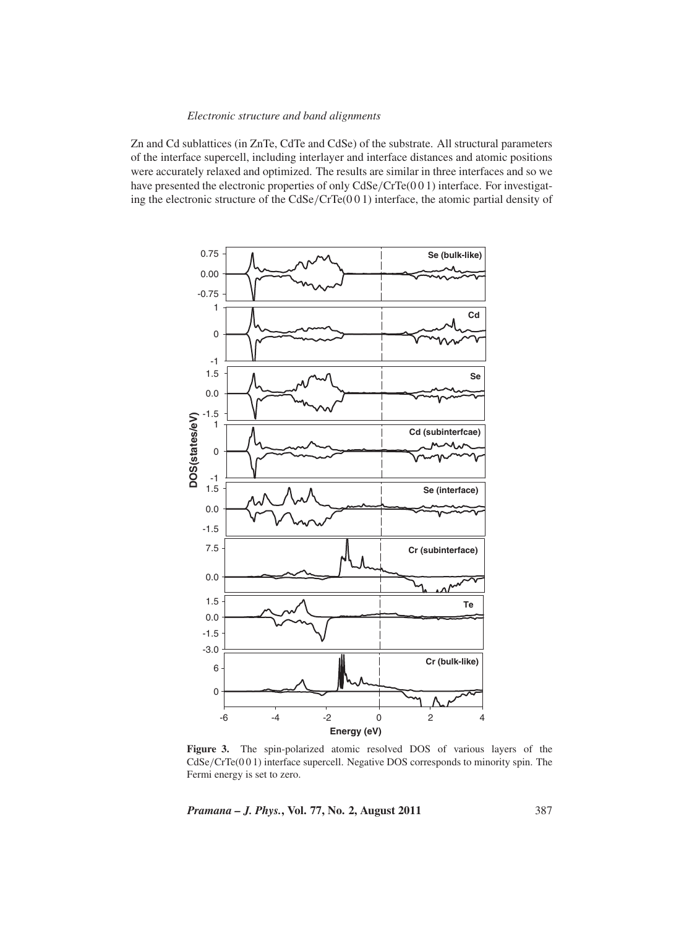Zn and Cd sublattices (in ZnTe, CdTe and CdSe) of the substrate. All structural parameters of the interface supercell, including interlayer and interface distances and atomic positions were accurately relaxed and optimized. The results are similar in three interfaces and so we have presented the electronic properties of only CdSe/CrTe(001) interface. For investigating the electronic structure of the CdSe/CrTe(0 0 1) interface, the atomic partial density of



**Figure 3.** The spin-polarized atomic resolved DOS of various layers of the CdSe/CrTe(0 0 1) interface supercell. Negative DOS corresponds to minority spin. The Fermi energy is set to zero.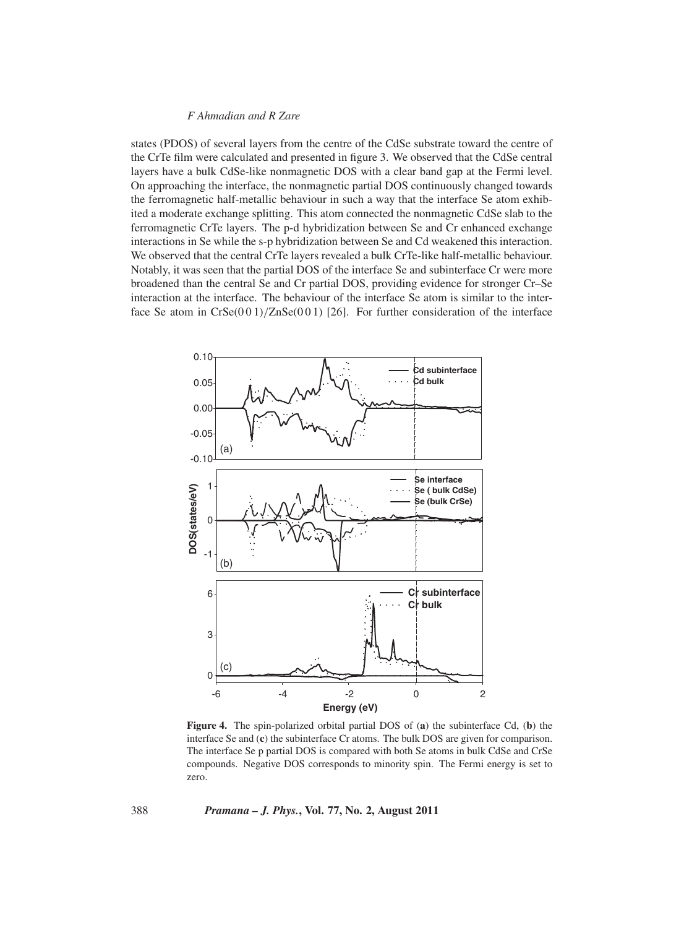states (PDOS) of several layers from the centre of the CdSe substrate toward the centre of the CrTe film were calculated and presented in figure 3. We observed that the CdSe central layers have a bulk CdSe-like nonmagnetic DOS with a clear band gap at the Fermi level. On approaching the interface, the nonmagnetic partial DOS continuously changed towards the ferromagnetic half-metallic behaviour in such a way that the interface Se atom exhibited a moderate exchange splitting. This atom connected the nonmagnetic CdSe slab to the ferromagnetic CrTe layers. The p-d hybridization between Se and Cr enhanced exchange interactions in Se while the s-p hybridization between Se and Cd weakened this interaction. We observed that the central CrTe layers revealed a bulk CrTe-like half-metallic behaviour. Notably, it was seen that the partial DOS of the interface Se and subinterface Cr were more broadened than the central Se and Cr partial DOS, providing evidence for stronger Cr–Se interaction at the interface. The behaviour of the interface Se atom is similar to the interface Se atom in  $CrSe(001)/ZnSe(001)$  [26]. For further consideration of the interface



**Figure 4.** The spin-polarized orbital partial DOS of (**a**) the subinterface Cd, (**b**) the interface Se and (**c**) the subinterface Cr atoms. The bulk DOS are given for comparison. The interface Se p partial DOS is compared with both Se atoms in bulk CdSe and CrSe compounds. Negative DOS corresponds to minority spin. The Fermi energy is set to zero.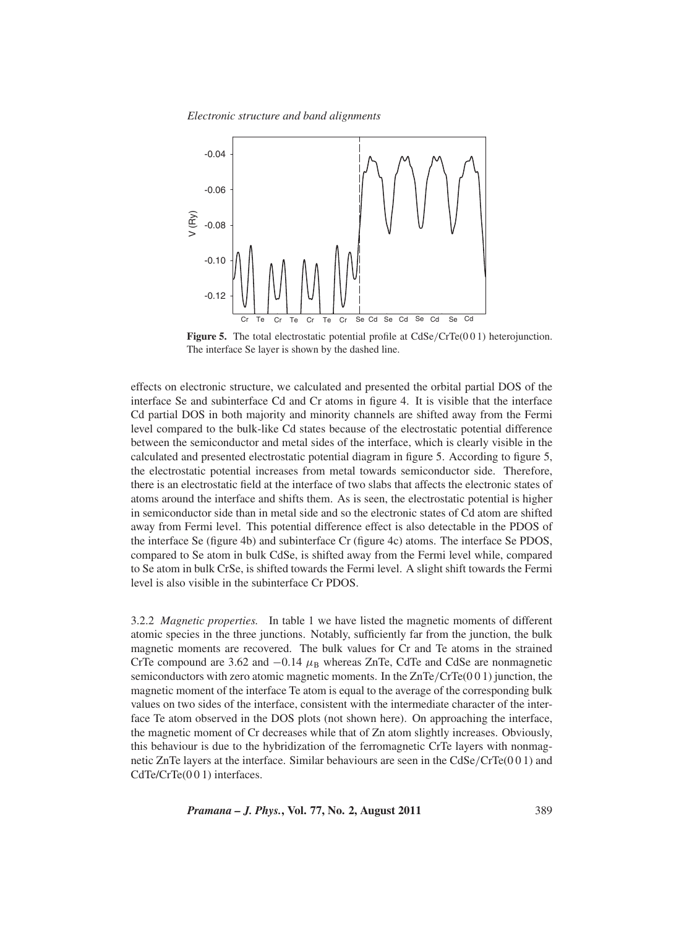*Electronic structure and band alignments*



**Figure 5.** The total electrostatic potential profile at CdSe/CrTe(001) heterojunction. The interface Se layer is shown by the dashed line.

effects on electronic structure, we calculated and presented the orbital partial DOS of the interface Se and subinterface Cd and Cr atoms in figure 4. It is visible that the interface Cd partial DOS in both majority and minority channels are shifted away from the Fermi level compared to the bulk-like Cd states because of the electrostatic potential difference between the semiconductor and metal sides of the interface, which is clearly visible in the calculated and presented electrostatic potential diagram in figure 5. According to figure 5, the electrostatic potential increases from metal towards semiconductor side. Therefore, there is an electrostatic field at the interface of two slabs that affects the electronic states of atoms around the interface and shifts them. As is seen, the electrostatic potential is higher in semiconductor side than in metal side and so the electronic states of Cd atom are shifted away from Fermi level. This potential difference effect is also detectable in the PDOS of the interface Se (figure 4b) and subinterface Cr (figure 4c) atoms. The interface Se PDOS, compared to Se atom in bulk CdSe, is shifted away from the Fermi level while, compared to Se atom in bulk CrSe, is shifted towards the Fermi level. A slight shift towards the Fermi level is also visible in the subinterface Cr PDOS.

3.2.2 *Magnetic properties.* In table 1 we have listed the magnetic moments of different atomic species in the three junctions. Notably, sufficiently far from the junction, the bulk magnetic moments are recovered. The bulk values for Cr and Te atoms in the strained CrTe compound are 3.62 and  $-0.14 \mu_B$  whereas ZnTe, CdTe and CdSe are nonmagnetic semiconductors with zero atomic magnetic moments. In the  $ZnTe/CrTe(0 0 1)$  junction, the magnetic moment of the interface Te atom is equal to the average of the corresponding bulk values on two sides of the interface, consistent with the intermediate character of the interface Te atom observed in the DOS plots (not shown here). On approaching the interface, the magnetic moment of Cr decreases while that of Zn atom slightly increases. Obviously, this behaviour is due to the hybridization of the ferromagnetic CrTe layers with nonmagnetic ZnTe layers at the interface. Similar behaviours are seen in the CdSe/CrTe(0 0 1) and CdTe/CrTe(001) interfaces.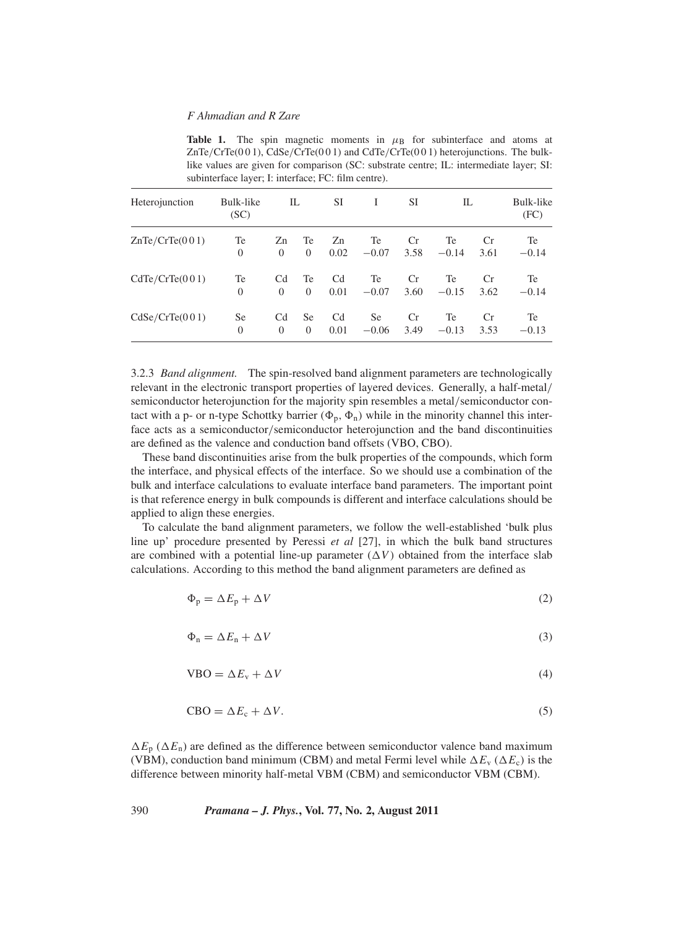**Table 1.** The spin magnetic moments in  $\mu$ B for subinterface and atoms at  $ZnTe/CrTe(001)$ ,  $CdSe/CrTe(001)$  and  $CdTe/CrTe(001)$  heterojunctions. The bulklike values are given for comparison (SC: substrate centre; IL: intermediate layer; SI: subinterface layer; I: interface; FC: film centre).

| Heterojunction | Bulk-like<br>(SC) | IL             |              | SI   | I       | <b>SI</b> | IL      |      | Bulk-like<br>(FC) |
|----------------|-------------------|----------------|--------------|------|---------|-----------|---------|------|-------------------|
| ZnTe/CrTe(001) | Te                | Zn             | Te           | Zn   | Te      | <b>Cr</b> | Te      | Cr   | Te                |
|                | $\overline{0}$    | $\overline{0}$ | $\mathbf{0}$ | 0.02 | $-0.07$ | 3.58      | $-0.14$ | 3.61 | $-0.14$           |
| CdTe/CrTe(001) | Te                | Cd             | Te           | Cd   | Te      | <b>Cr</b> | Te      | Cr   | Te                |
|                | $\Omega$          | $\Omega$       | $\Omega$     | 0.01 | $-0.07$ | 3.60      | $-0.15$ | 3.62 | $-0.14$           |
| CdSe/CrTe(001) | <b>Se</b>         | Cd             | Se           | Cd   | Se      | <b>Cr</b> | Te      | Cr   | Te                |
|                | $\overline{0}$    | $\Omega$       | $\Omega$     | 0.01 | $-0.06$ | 3.49      | $-0.13$ | 3.53 | $-0.13$           |

3.2.3 *Band alignment.* The spin-resolved band alignment parameters are technologically relevant in the electronic transport properties of layered devices. Generally, a half-metal/ semiconductor heterojunction for the majority spin resembles a metal/semiconductor contact with a p- or n-type Schottky barrier  $(\Phi_p, \Phi_n)$  while in the minority channel this interface acts as a semiconductor/semiconductor heterojunction and the band discontinuities are defined as the valence and conduction band offsets (VBO, CBO).

These band discontinuities arise from the bulk properties of the compounds, which form the interface, and physical effects of the interface. So we should use a combination of the bulk and interface calculations to evaluate interface band parameters. The important point is that reference energy in bulk compounds is different and interface calculations should be applied to align these energies.

To calculate the band alignment parameters, we follow the well-established 'bulk plus line up' procedure presented by Peressi *et al* [27], in which the bulk band structures are combined with a potential line-up parameter  $(\Delta V)$  obtained from the interface slab calculations. According to this method the band alignment parameters are defined as

$$
\Phi_{\mathbf{p}} = \Delta E_{\mathbf{p}} + \Delta V \tag{2}
$$

$$
\Phi_{n} = \Delta E_{n} + \Delta V \tag{3}
$$

$$
VBO = \Delta E_v + \Delta V \tag{4}
$$

$$
CBO = \Delta E_c + \Delta V.
$$
 (5)

 $\Delta E_p$  ( $\Delta E_n$ ) are defined as the difference between semiconductor valence band maximum (VBM), conduction band minimum (CBM) and metal Fermi level while  $\Delta E_v (\Delta E_c)$  is the difference between minority half-metal VBM (CBM) and semiconductor VBM (CBM).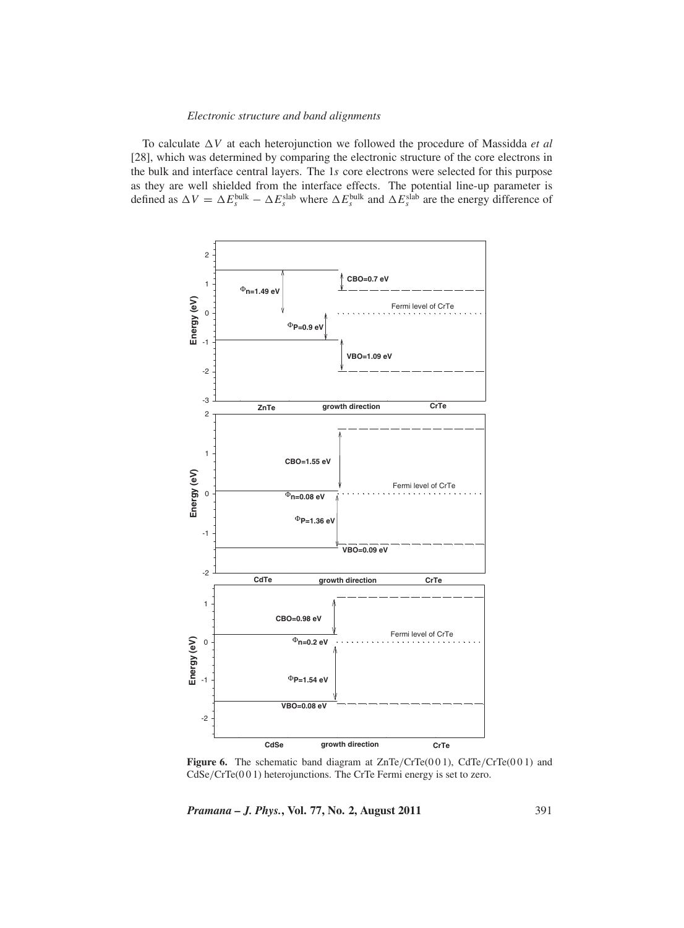To calculate  $\Delta V$  at each heterojunction we followed the procedure of Massidda *et al* [28], which was determined by comparing the electronic structure of the core electrons in the bulk and interface central layers. The 1*s* core electrons were selected for this purpose as they are well shielded from the interface effects. The potential line-up parameter is defined as  $\Delta V = \Delta E_s^{\text{bulk}} - \Delta E_s^{\text{slab}}$  where  $\Delta E_s^{\text{bulk}}$  and  $\Delta E_s^{\text{slab}}$  are the energy difference of



Figure 6. The schematic band diagram at ZnTe/CrTe(001), CdTe/CrTe(001) and CdSe/CrTe(0 0 1) heterojunctions. The CrTe Fermi energy is set to zero.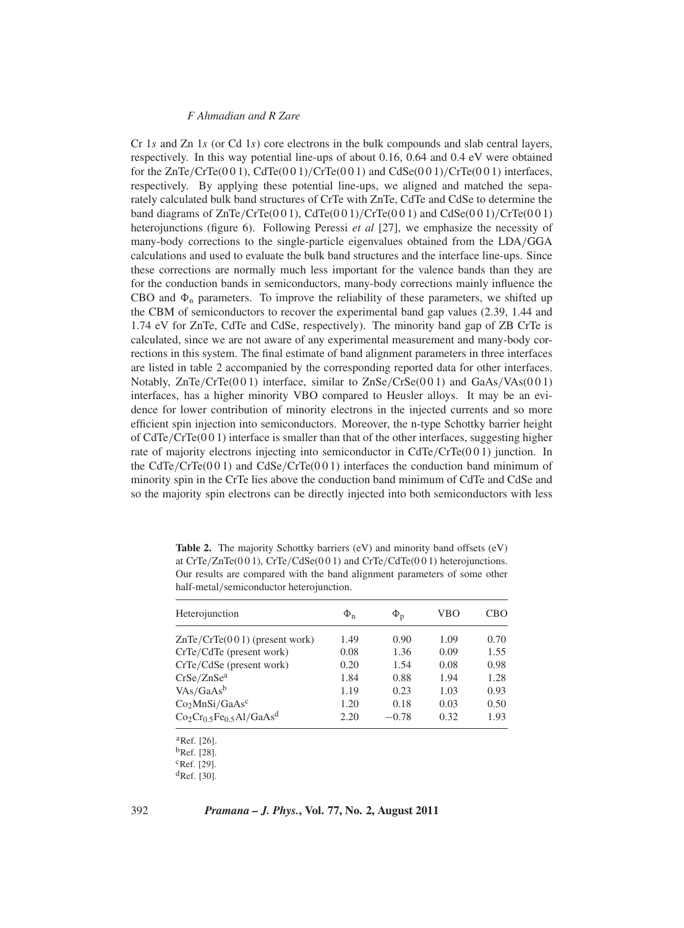Cr 1*s* and Zn 1*s* (or Cd 1*s*) core electrons in the bulk compounds and slab central layers, respectively. In this way potential line-ups of about 0.16, 0.64 and 0.4 eV were obtained for the  $ZnTe/CrTe(001)$ ,  $CdTe(001)/CrTe(001)$  and  $CdSe(001)/CrTe(001)$  interfaces, respectively. By applying these potential line-ups, we aligned and matched the separately calculated bulk band structures of CrTe with ZnTe, CdTe and CdSe to determine the band diagrams of  $ZnTe/CrTe(001)$ ,  $CdTe(001)/CrTe(001)$  and  $CdSe(001)/CrTe(001)$ heterojunctions (figure 6). Following Peressi *et al* [27], we emphasize the necessity of many-body corrections to the single-particle eigenvalues obtained from the LDA/GGA calculations and used to evaluate the bulk band structures and the interface line-ups. Since these corrections are normally much less important for the valence bands than they are for the conduction bands in semiconductors, many-body corrections mainly influence the CBO and  $\Phi_n$  parameters. To improve the reliability of these parameters, we shifted up the CBM of semiconductors to recover the experimental band gap values (2.39, 1.44 and 1.74 eV for ZnTe, CdTe and CdSe, respectively). The minority band gap of ZB CrTe is calculated, since we are not aware of any experimental measurement and many-body corrections in this system. The final estimate of band alignment parameters in three interfaces are listed in table 2 accompanied by the corresponding reported data for other interfaces. Notably,  $ZnTe/CrTe(0 0 1)$  interface, similar to  $ZnSe/CrSe(0 0 1)$  and  $GaAs/VAs(0 0 1)$ interfaces, has a higher minority VBO compared to Heusler alloys. It may be an evidence for lower contribution of minority electrons in the injected currents and so more efficient spin injection into semiconductors. Moreover, the n-type Schottky barrier height of  $CdTe/CrTe(0 0 1)$  interface is smaller than that of the other interfaces, suggesting higher rate of majority electrons injecting into semiconductor in CdTe/CrTe(001) junction. In the CdTe/CrTe( $0 0 1$ ) and CdSe/CrTe( $0 0 1$ ) interfaces the conduction band minimum of minority spin in the CrTe lies above the conduction band minimum of CdTe and CdSe and so the majority spin electrons can be directly injected into both semiconductors with less

Table 2. The majority Schottky barriers (eV) and minority band offsets (eV) at CrTe/ZnTe(0 0 1), CrTe/CdSe(0 0 1) and CrTe/CdTe(0 0 1) heterojunctions. Our results are compared with the band alignment parameters of some other half-metal/semiconductor heterojunction.

| Heterojunction                         | $\Phi_{n}$ | $\Phi_{\rm p}$ | VBO  | CBO  |
|----------------------------------------|------------|----------------|------|------|
| $ZnTe/CrTe(001)$ (present work)        | 1.49       | 0.90           | 1.09 | 0.70 |
| CrTe/CdTe (present work)               | 0.08       | 1.36           | 0.09 | 1.55 |
| $CrTe/CdSe$ (present work)             | 0.20       | 1.54           | 0.08 | 0.98 |
| CrSe/ZnSe <sup>a</sup>                 | 1.84       | 0.88           | 1.94 | 1.28 |
| $VAs/GaAs^b$                           | 1.19       | 0.23           | 1.03 | 0.93 |
| Co <sub>2</sub> MnSi/GaAs <sup>c</sup> | 1.20       | 0.18           | 0.03 | 0.50 |
| $Co2Cr0.5Fe0.5Al/GaAsd$                | 2.20       | $-0.78$        | 0.32 | 1.93 |

aRef. [26]. bRef. [28].  $c$ Ref. [29].  ${}^{\text{d}}$ Ref. [30].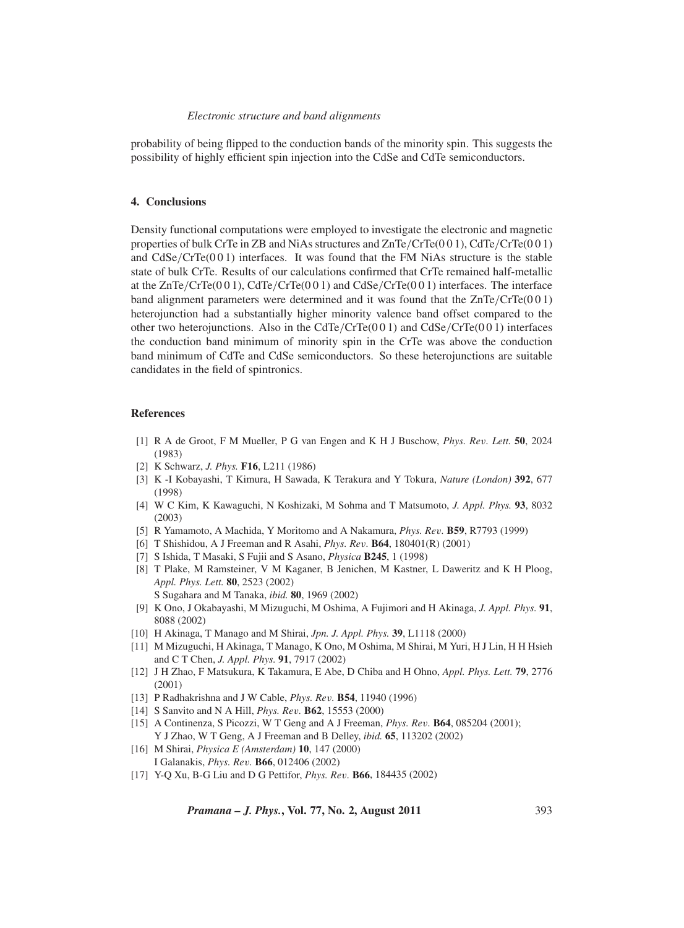probability of being flipped to the conduction bands of the minority spin. This suggests the possibility of highly efficient spin injection into the CdSe and CdTe semiconductors.

#### **4. Conclusions**

Density functional computations were employed to investigate the electronic and magnetic properties of bulk CrTe in ZB and NiAs structures and ZnTe/CrTe(0 0 1), CdTe/CrTe(0 0 1) and CdSe/CrTe(0 0 1) interfaces. It was found that the FM NiAs structure is the stable state of bulk CrTe. Results of our calculations confirmed that CrTe remained half-metallic at the  $ZnTe/CrTe(0 0 1)$ ,  $CdTe/CrTe(0 0 1)$  and  $CdSe/CrTe(0 0 1)$  interfaces. The interface band alignment parameters were determined and it was found that the  $ZnTe/CrTe(0 0 1)$ heterojunction had a substantially higher minority valence band offset compared to the other two heterojunctions. Also in the CdTe/CrTe( $001$ ) and CdSe/CrTe( $001$ ) interfaces the conduction band minimum of minority spin in the CrTe was above the conduction band minimum of CdTe and CdSe semiconductors. So these heterojunctions are suitable candidates in the field of spintronics.

#### **References**

- [1] R A de Groot, F M Mueller, P G van Engen and K H J Buschow, *Phys. Re*v*. Lett.* **50**, 2024 (1983)
- [2] K Schwarz, *J. Phys.* **F16**, L211 (1986)
- [3] K -I Kobayashi, T Kimura, H Sawada, K Terakura and Y Tokura, *Nature (London)* **392**, 677 (1998)
- [4] W C Kim, K Kawaguchi, N Koshizaki, M Sohma and T Matsumoto, *J. Appl. Phys.* **93**, 8032 (2003)
- [5] R Yamamoto, A Machida, Y Moritomo and A Nakamura, *Phys. Re*v*.* **B59**, R7793 (1999)
- [6] T Shishidou, A J Freeman and R Asahi, *Phys. Re*v*.* **B64**, 180401(R) (2001)
- [7] S Ishida, T Masaki, S Fujii and S Asano, *Physica* **B245**, 1 (1998)
- [8] T Plake, M Ramsteiner, V M Kaganer, B Jenichen, M Kastner, L Daweritz and K H Ploog, *Appl. Phys. Lett.* **80**, 2523 (2002) S Sugahara and M Tanaka, *ibid.* **80**, 1969 (2002)
- [9] K Ono, J Okabayashi, M Mizuguchi, M Oshima, A Fujimori and H Akinaga, *J. Appl. Phys.* **91**, 8088 (2002)
- [10] H Akinaga, T Manago and M Shirai, *Jpn. J. Appl. Phys.* **39**, L1118 (2000)
- [11] M Mizuguchi, H Akinaga, T Manago, K Ono, M Oshima, M Shirai, M Yuri, H J Lin, H H Hsieh and C T Chen, *J. Appl. Phys.* **91**, 7917 (2002)
- [12] J H Zhao, F Matsukura, K Takamura, E Abe, D Chiba and H Ohno, *Appl. Phys. Lett.* **79**, 2776 (2001)
- [13] P Radhakrishna and J W Cable, *Phys. Re*v*.* **B54**, 11940 (1996)
- [14] S Sanvito and N A Hill, *Phys. Re*v*.* **B62**, 15553 (2000)
- [15] A Continenza, S Picozzi, W T Geng and A J Freeman, *Phys. Re*v*.* **B64**, 085204 (2001); Y J Zhao, W T Geng, A J Freeman and B Delley, *ibid.* **65**, 113202 (2002)
- [16] M Shirai, *Physica E (Amsterdam)* **10**, 147 (2000) I Galanakis, *Phys. Re*v*.* **B66**, 012406 (2002)
- [17] Y-Q Xu, B-G Liu and D G Pettifor, *Phys. Re*v*.* **B66**, 184435 (2002)